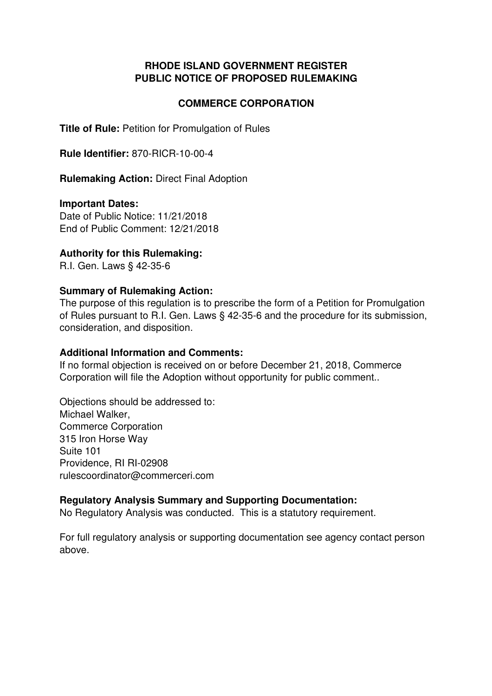## **RHODE ISLAND GOVERNMENT REGISTER PUBLIC NOTICE OF PROPOSED RULEMAKING**

### **COMMERCE CORPORATION**

**Title of Rule: Petition for Promulgation of Rules** 

**Rule Identifier:** 870-RICR-10-00-4

**Rulemaking Action:** Direct Final Adoption

#### **Important Dates:**

Date of Public Notice: 11/21/2018 End of Public Comment: 12/21/2018

### **Authority for this Rulemaking:**

R.I. Gen. Laws § 42-35-6

#### **Summary of Rulemaking Action:**

The purpose of this regulation is to prescribe the form of a Petition for Promulgation of Rules pursuant to R.I. Gen. Laws § 42-35-6 and the procedure for its submission, consideration, and disposition.

#### **Additional Information and Comments:**

If no formal objection is received on or before December 21, 2018, Commerce Corporation will file the Adoption without opportunity for public comment..

Objections should be addressed to: Michael Walker, Commerce Corporation 315 Iron Horse Way Suite 101 Providence, RI RI-02908 rulescoordinator@commerceri.com

### **Regulatory Analysis Summary and Supporting Documentation:**

No Regulatory Analysis was conducted. This is a statutory requirement.

For full regulatory analysis or supporting documentation see agency contact person above.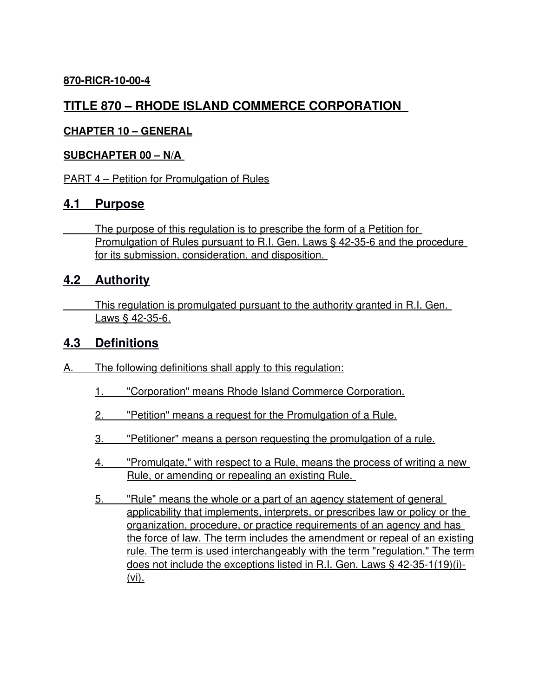## **870-RICR-10-00-4**

# **TITLE 870 – RHODE ISLAND COMMERCE CORPORATION**

### **CHAPTER 10 – GENERAL**

### **SUBCHAPTER 00 – N/A**

PART 4 – Petition for Promulgation of Rules

## **4.1 Purpose**

 The purpose of this regulation is to prescribe the form of a Petition for Promulgation of Rules pursuant to R.I. Gen. Laws § 42-35-6 and the procedure for its submission, consideration, and disposition.

## **4.2 Authority**

 This regulation is promulgated pursuant to the authority granted in R.I. Gen. Laws § 42-35-6.

## **4.3 Definitions**

- A. The following definitions shall apply to this regulation:
	- 1. "Corporation" means Rhode Island Commerce Corporation.
	- 2. "Petition" means a request for the Promulgation of a Rule.
	- 3. "Petitioner" means a person requesting the promulgation of a rule.
	- 4. "Promulgate," with respect to a Rule, means the process of writing a new Rule, or amending or repealing an existing Rule.
	- 5. "Rule" means the whole or a part of an agency statement of general applicability that implements, interprets, or prescribes law or policy or the organization, procedure, or practice requirements of an agency and has the force of law. The term includes the amendment or repeal of an existing rule. The term is used interchangeably with the term "regulation." The term does not include the exceptions listed in R.I. Gen. Laws § 42-35-1(19)(i)- (vi).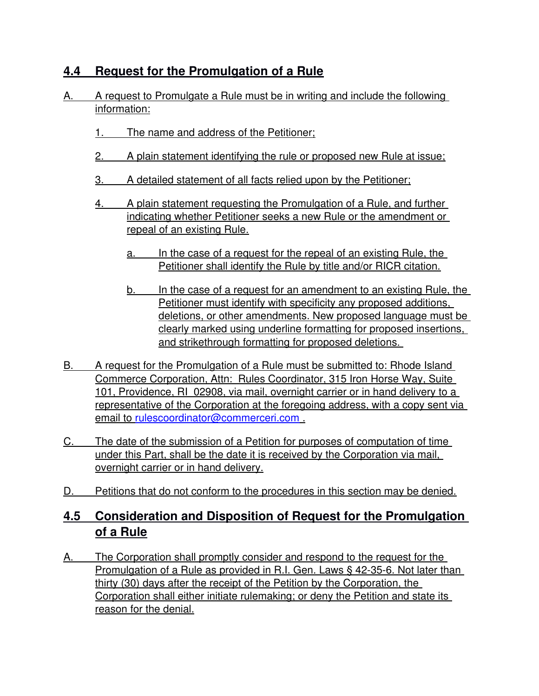# **4.4 Request for the Promulgation of a Rule**

- A. A request to Promulgate a Rule must be in writing and include the following information:
	- 1. The name and address of the Petitioner;
	- 2. A plain statement identifying the rule or proposed new Rule at issue;
	- 3. A detailed statement of all facts relied upon by the Petitioner;
	- 4. A plain statement requesting the Promulgation of a Rule, and further indicating whether Petitioner seeks a new Rule or the amendment or repeal of an existing Rule.
		- a. In the case of a request for the repeal of an existing Rule, the Petitioner shall identify the Rule by title and/or RICR citation.
		- b. In the case of a request for an amendment to an existing Rule, the Petitioner must identify with specificity any proposed additions, deletions, or other amendments. New proposed language must be clearly marked using underline formatting for proposed insertions, and strikethrough formatting for proposed deletions.
- B. A request for the Promulgation of a Rule must be submitted to: Rhode Island Commerce Corporation, Attn: Rules Coordinator, 315 Iron Horse Way, Suite 101, Providence, RI 02908, via mail, overnight carrier or in hand delivery to a representative of the Corporation at the foregoing address, with a copy sent via email to [rulescoordinator@commerceri.com](mailto:rulescoordinator@commerceri.com) .
- C. The date of the submission of a Petition for purposes of computation of time under this Part, shall be the date it is received by the Corporation via mail, overnight carrier or in hand delivery.
- D. Petitions that do not conform to the procedures in this section may be denied.

# **4.5 Consideration and Disposition of Request for the Promulgation of a Rule**

A. The Corporation shall promptly consider and respond to the request for the Promulgation of a Rule as provided in R.I. Gen. Laws § 42-35-6. Not later than thirty (30) days after the receipt of the Petition by the Corporation, the Corporation shall either initiate rulemaking; or deny the Petition and state its reason for the denial.